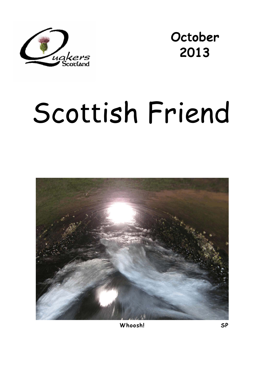

**October 2013** 

# Scottish Friend



**Whoosh! SP**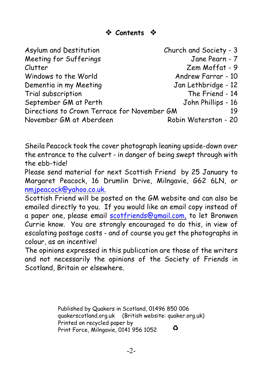| Asylum and Destitution                      | Church and Society - 3 |
|---------------------------------------------|------------------------|
| Meeting for Sufferings                      | Jane Pearn - 7         |
| Clutter                                     | Zem Moffat - 9         |
| Windows to the World                        | Andrew Farrar - 10     |
| Dementia in my Meeting                      | Jan Lethbridge - 12    |
| Trial subscription                          | The Friend - 14        |
| September GM at Perth                       | John Phillips - 16     |
| Directions to Crown Terrace for November GM |                        |
| November GM at Aberdeen                     | Robin Waterston - 20   |

Sheila Peacock took the cover photograph leaning upside-down over the entrance to the culvert - in danger of being swept through with the ebb-tide!

Please send material for next *Scottish Friend* by 25 January to Margaret Peacock, 16 Drumlin Drive, Milngavie, G62 6LN, or [nmjpeacock@yahoo.co.uk.](mailto:nmjpeacock@yahoo.co.uk.)

*Scottish Friend* will be posted on the GM website and can also be emailed directly to you. If you would like an email copy instead of a paper one, please email [scotfriends@gmail.com,](mailto:scotfriends@aol.com,) to let Bronwen Currie know. You are strongly encouraged to do this, in view of escalating postage costs - and of course you get the photographs in colour, as an incentive!

The opinions expressed in this publication are those of the writers and not necessarily the opinions of the Society of Friends in Scotland, Britain or elsewhere.

> Published by Quakers in Scotland, 01496 850 006 quakerscotland.org.uk (British website: quaker.org.uk) Printed on recycled paper by ♻ Print Force, Milngavie, 0141 956 1052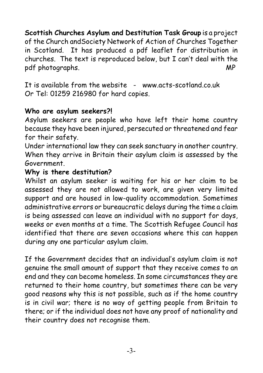**Scottish Churches Asylum and Destitution Task Group** is a project of the Church andSociety Network of Action of Churches Together in Scotland. It has produced a pdf leaflet for distribution in churches. The text is reproduced below, but I can't deal with the pdf photographs. MP

It is available from the website - www.acts-scotland.co.uk Or Tel: 01259 216980 for hard copies.

#### **Who are asylum seekers?!**

Asylum seekers are people who have left their home country because they have been injured, persecuted or threatened and fear for their safety.

Under international law they can seek sanctuary in another country. When they arrive in Britain their asylum claim is assessed by the Government.

#### **Why is there destitution?**

Whilst an asylum seeker is waiting for his or her claim to be assessed they are not allowed to work, are given very limited support and are housed in low-quality accommodation. Sometimes administrative errors or bureaucratic delays during the time a claim is being assessed can leave an individual with no support for days, weeks or even months at a time. The Scottish Refugee Council has identified that there are seven occasions where this can happen during any one particular asylum claim.

If the Government decides that an individual's asylum claim is not genuine the small amount of support that they receive comes to an end and they can become homeless. In some circumstances they are returned to their home country, but sometimes there can be very good reasons why this is not possible, such as if the home country is in civil war; there is no way of getting people from Britain to there; or if the individual does not have any proof of nationality and their country does not recognise them.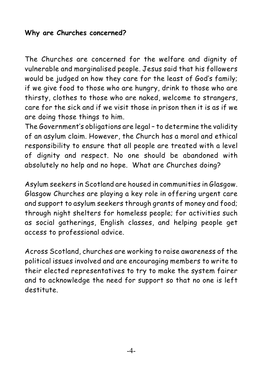#### **Why are Churches concerned?**

The Churches are concerned for the welfare and dignity of vulnerable and marginalised people. Jesus said that his followers would be judged on how they care for the least of God's family; if we give food to those who are hungry, drink to those who are thirsty, clothes to those who are naked, welcome to strangers, care for the sick and if we visit those in prison then it is as if we are doing those things to him.

The Government's obligations are legal – to determine the validity of an asylum claim. However, the Church has a moral and ethical responsibility to ensure that all people are treated with a level of dignity and respect. No one should be abandoned with absolutely no help and no hope. What are Churches doing?

Asylum seekers in Scotland are housed in communities in Glasgow. Glasgow Churches are playing a key role in offering urgent care and support to asylum seekers through grants of money and food; through night shelters for homeless people; for activities such as social gatherings, English classes, and helping people get access to professional advice.

Across Scotland, churches are working to raise awareness of the political issues involved and are encouraging members to write to their elected representatives to try to make the system fairer and to acknowledge the need for support so that no one is left destitute.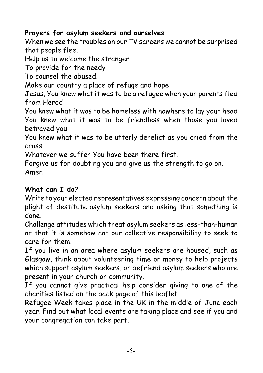#### **Prayers for asylum seekers and ourselves**

*When we see the troubles on our TV screens we cannot be surprised that people flee.*

*Help us to welcome the stranger*

*To provide for the needy*

*To counsel the abused.*

*Make our country a place of refuge and hope*

*Jesus, You knew what it was to be a refugee when your parents fled from Herod*

*You knew what it was to be homeless with nowhere to lay your head You knew what it was to be friendless when those you loved betrayed you*

*You knew what it was to be utterly derelict as you cried from the cross*

*Whatever we suffer You have been there first.*

*Forgive us for doubting you and give us the strength to go on. Amen*

#### **What can I do?**

Write to your elected representatives expressing concern about the plight of destitute asylum seekers and asking that something is done.

Challenge attitudes which treat asylum seekers as less-than-human or that it is somehow not our collective responsibility to seek to care for them.

If you live in an area where asylum seekers are housed, such as Glasgow, think about volunteering time or money to help projects which support asylum seekers, or befriend asylum seekers who are present in your church or community.

If you cannot give practical help consider giving to one of the charities listed on the back page of this leaflet.

Refugee Week takes place in the UK in the middle of June each year. Find out what local events are taking place and see if you and your congregation can take part.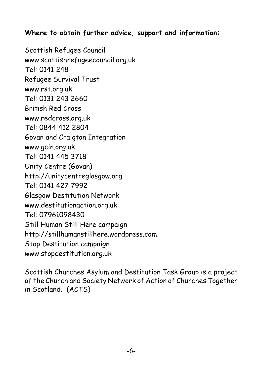#### **Where to obtain further advice, support and information:**

Scottish Refugee Council www.scottishrefugeecouncil.org.uk Tel: 0141 248 Refugee Survival Trust www.rst.org.uk Tel: 0131 243 2660 British Red Cross www.redcross.org.uk Tel: 0844 412 2804 Govan and Craigton Integration www.gcin.org.uk Tel: 0141 445 3718 Unity Centre (Govan) http://unitycentreglasgow.org Tel: 0141 427 7992 Glasgow Destitution Network www.destitutionaction.org.uk Tel: 07961098430 Still Human Still Here campaign http://stillhumanstillhere.wordpress.com Stop Destitution campaign www.stopdestitution.org.uk

Scottish Churches Asylum and Destitution Task Group is a project of the Church and Society Network of Action of Churches Together in Scotland. (ACTS)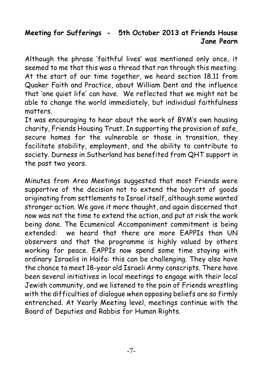#### **Meeting for Sufferings - 5th October 2013 at Friends House Jane Pearn**

Although the phrase 'faithful lives' was mentioned only once, it seemed to me that this was a thread that ran through this meeting. At the start of our time together, we heard section 18.11 from Quaker Faith and Practice, about William Dent and the influence that 'one quiet life' can have. We reflected that we might not be able to change the world immediately, but individual faithfulness matters.

It was encouraging to hear about the work of BYM's own housing charity, Friends Housing Trust. In supporting the provision of safe, secure homes for the vulnerable or those in transition, they facilitate stability, employment, and the ability to contribute to society. Durness in Sutherland has benefited from QHT support in the past two years.

Minutes from Area Meetings suggested that most Friends were supportive of the decision not to extend the boycott of goods originating from settlements to Israel itself, although some wanted stronger action. We gave it more thought, and again discerned that now was not the time to extend the action, and put at risk the work being done. The Ecumenical Accompaniment commitment is being extended: we heard that there are more EAPPIs than UN observers and that the programme is highly valued by others working for peace. EAPPIs now spend some time staying with ordinary Israelis in Haifa: this can be challenging. They also have the chance to meet 18-year old Israeli Army conscripts. There have been several initiatives in local meetings to engage with their local Jewish community, and we listened to the pain of Friends wrestling with the difficulties of dialogue when opposing beliefs are so firmly entrenched. At Yearly Meeting level, meetings continue with the Board of Deputies and Rabbis for Human Rights.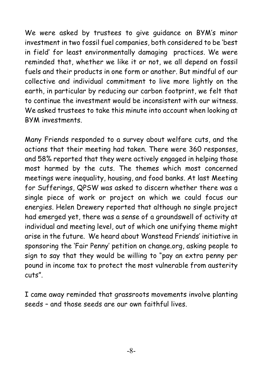We were asked by trustees to give guidance on BYM's minor investment in two fossil fuel companies, both considered to be 'best in field' for least environmentally damaging practices. We were reminded that, whether we like it or not, we all depend on fossil fuels and their products in one form or another. But mindful of our collective and individual commitment to live more lightly on the earth, in particular by reducing our carbon footprint, we felt that to continue the investment would be inconsistent with our witness. We asked trustees to take this minute into account when looking at BYM investments.

Many Friends responded to a survey about welfare cuts, and the actions that their meeting had taken. There were 360 responses, and 58% reported that they were actively engaged in helping those most harmed by the cuts. The themes which most concerned meetings were inequality, housing, and food banks. At last Meeting for Sufferings, QPSW was asked to discern whether there was a single piece of work or project on which we could focus our energies. Helen Drewery reported that although no single project had emerged yet, there was a sense of a groundswell of activity at individual and meeting level, out of which one unifying theme might arise in the future. We heard about Wanstead Friends' initiative in sponsoring the 'Fair Penny' petition on change.org, asking people to sign to say that they would be willing to "pay an extra penny per pound in income tax to protect the most vulnerable from austerity cuts".

I came away reminded that grassroots movements involve planting seeds – and those seeds are our own faithful lives.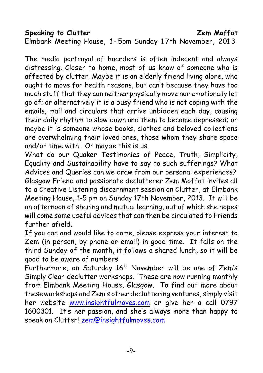much stuff that they can neither physically move nor emotionally let go of; or alternatively it is a busy friend who is not coping with the emails, mail and circulars that arrive unbidden each day, causing their daily rhythm to slow down and them to become depressed; or maybe it is someone whose books, clothes and beloved collections are overwhelming their loved ones, those whom they share space and/or time with. Or maybe this is us.

*Elmbank Meeting House, 1 - 5pm Sunday 1 7th November, 201 3*

The media portrayal of hoarders is often indecent and always distressing. Closer to home, most of us know of someone who is affected by clutter. Maybe it is an elderly friend living alone, who ought to move for health reasons, but can't because they have too

What do our Quaker Testimonies of Peace, Truth, Simplicity, Equality and Sustainability have to say to such sufferings? What Advices and Queries can we draw from our personal experiences? Glasgow Friend and passionate declutterer Zem Moffat invites all to a *Creative Listening* discernment session on Clutter, at Elmbank Meeting House, 1-5 pm on Sunday 17th November, 2013. It will be an afternoon of sharing and mutual learning, out of which she hopes will come some useful advices that can then be circulated to Friends further afield.

If you can and would like to come, please express your interest to Zem (in person, by phone or email) in good time. It falls on the third Sunday of the month, it follows a shared lunch, so it will be good to be aware of numbers!

Furthermore, on Saturday  $16<sup>th</sup>$  November will be one of Zem's *Simply Clear* declutter workshops. These are now running monthly from Elmbank Meeting House, Glasgow. To find out more about these workshops and Zem's other decluttering ventures, simply visit her website [www.insightfulmoves.com](http://www.insightfulmoves.com/) or give her a call 0797 1600301. It's her passion, and she's always more than happy to speak on Clutter! [zem@insightfulmoves.com](mailto:zem@insightfulmoves.com)

#### **Speaking to Clutter Zem Moffat**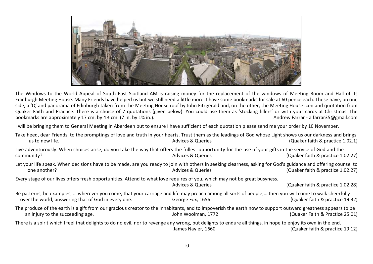

The Windows to the World Appeal of South East Scotland AM is raising money for the replacement of the windows of Meeting Room and Hall of its Edinburgh Meeting House. Many Friends have helped us but we still need a little more. I have some bookmarks for sale at 60 pence each. These have, on one side, a 'Q' and panorama of Edinburgh taken from the Meeting House roof by John Fitzgerald and, on the other, the Meeting House icon and quotation from Quaker Faith and Practice. There is a choice of 7 quotations (given below). You could use them as 'stocking fillers' or with your cards at Christmas. The bookmarks are approximately 17 cm. by 4½ cm. (7 in. by 1¾ in.). bookmarks are approximately 17 cm. by  $4\frac{1}{2}$  cm. (7 in. by  $1\frac{3}{4}$  in.).

I will be bringing them to General Meeting in Aberdeen but to ensure I have sufficient of each quotation please send me your order by 10 November.

| Take heed, dear Friends, to the promptings of love and truth in your hearts. Trust them as the leadings of God whose Light shows us our darkness and brings<br>us to new life.                               | <b>Advices &amp; Queries</b> | (Quaker faith & practice 1.02.1)  |
|--------------------------------------------------------------------------------------------------------------------------------------------------------------------------------------------------------------|------------------------------|-----------------------------------|
| Live adventurously. When choices arise, do you take the way that offers the fullest opportunity for the use of your gifts in the service of God and the<br>community?                                        | <b>Advices &amp; Queries</b> | (Quaker faith & practice 1.02.27) |
| Let your life speak. When decisions have to be made, are you ready to join with others in seeking clearness, asking for God's guidance and offering counsel to<br>one another?                               | <b>Advices &amp; Queries</b> | (Quaker faith & practice 1.02.27) |
| Every stage of our lives offers fresh opportunities. Attend to what love requires of you, which may not be great busyness.                                                                                   | <b>Advices &amp; Queries</b> | (Quaker faith & practice 1.02.28) |
| Be patterns, be examples,  wherever you come, that your carriage and life may preach among all sorts of people; then you will come to walk cheerfully<br>over the world, answering that of God in every one. | George Fox, 1656             | (Quaker faith & practice 19.32)   |
| The produce of the earth is a gift from our gracious creator to the inhabitants, and to impoverish the earth now to support outward greatness appears to be<br>an injury to the succeeding age.              | John Woolman, 1772           | (Quaker Faith & Practice 25.01)   |
| There is a spirit which I feel that delights to do no evil, nor to revenge any wrong, but delights to endure all things, in hope to enjoy its own in the end.                                                | James Nayler, 1660           | (Quaker faith & practice 19.12)   |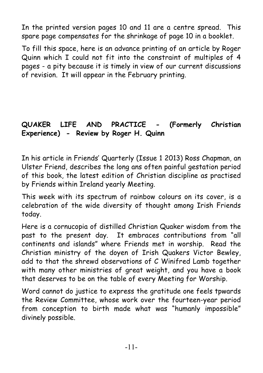In the printed version pages 10 and 11 are a centre spread. This spare page compensates for the shrinkage of page 10 in a booklet.

To fill this space, here is an advance printing of an article by Roger Quinn which I could not fit into the constraint of multiples of 4 pages - a pity because it is timely in view of our current discussions of revision. It will appear in the February printing.

#### **QUAKER LIFE AND PRACTICE - (Formerly Christian Experience) - Review by Roger H. Quinn**

In his article in Friends' Quarterly (Issue 1 2013) Ross Chapman, an Ulster Friend, describes the long ans often painful gestation period of this book, the latest edition of Christian discipline as practised by Friends within Ireland yearly Meeting.

This week with its spectrum of rainbow colours on its cover, is a celebration of the wide diversity of thought among Irish Friends today.

Here is a cornucopia of distilled Christian Quaker wisdom from the past to the present day. It embraces contributions from "all continents and islands" where Friends met in worship. Read the Christian ministry of the doyen of Irish Quakers Victor Bewley, add to that the shrewd observations of C Winifred Lamb together with many other ministries of great weight, and you have a book that deserves to be on the table of every Meeting for Worship.

Word cannot do justice to express the gratitude one feels tpwards the Review Committee, whose work over the fourteen-year period from conception to birth made what was "humanly impossible" divinely possible.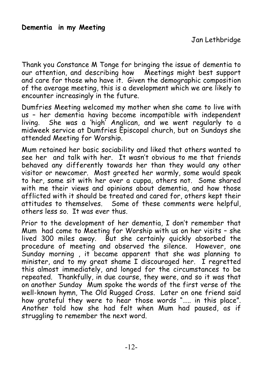Thank you Constance M Tonge for bringing the issue of dementia to our attention, and describing how Meetings might best support and care for those who have it. Given the demographic composition of the average meeting, this is a development which we are likely to encounter increasingly in the future.

Dumfries Meeting welcomed my mother when she came to live with us – her dementia having become incompatible with independent living. She was a 'high' Anglican, and we went regularly to a midweek service at Dumfries Episcopal church, but on Sundays she attended Meeting for Worship.

Mum retained her basic sociability and liked that others wanted to see her and talk with her. It wasn't obvious to me that friends behaved any differently towards her than they would any other visitor or newcomer. Most greeted her warmly, some would speak to her, some sit with her over a cuppa, others not. Some shared with me their views and opinions about dementia, and how those afflicted with it should be treated and cared for, others kept their attitudes to themselves. Some of these comments were helpful, others less so. It was ever thus.

Prior to the development of her dementia, I don't remember that Mum had come to Meeting for Worship with us on her visits – she lived 300 miles away. But she certainly quickly absorbed the procedure of meeting and observed the silence. However, one Sunday morning , it became apparent that she was planning to minister, and to my great shame I discouraged her. I regretted this almost immediately, and longed for the circumstances to be repeated. Thankfully, in due course, they were, and so it was that on another Sunday Mum spoke the words of the first verse of the well-known hymn, The Old Rugged Cross. Later on one friend said how grateful they were to hear those words "….. in this place". Another told how she had felt when Mum had paused, as if struggling to remember the next word.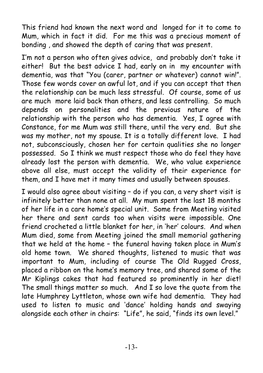This friend had known the next word and longed for it to come to Mum, which in fact it did. For me this was a precious moment of bonding , and showed the depth of caring that was present.

I'm not a person who often gives advice, and probably don't take it either! But the best advice I had, early on in my encounter with dementia, was that "You (carer, partner or whatever) cannot win!". Those few words cover an awful lot, and if you can accept that then the relationship can be much less stressful. Of course, some of us are much more laid back than others, and less controlling. So much depends on personalities and the previous nature of the relationship with the person who has dementia. Yes, I agree with Constance, for me Mum was still there, until the very end. But she was my mother, not my spouse. It is a totally different love. I had not, subconsciously, chosen her for certain qualities she no longer possessed. So I think we must respect those who do feel they have already lost the person with dementia. We, who value experience above all else, must accept the validity of their experience for them, and I have met it many times and usually between spouses.

I would also agree about visiting – do if you can, a very short visit is infinitely better than none at all. My mum spent the last 18 months of her life in a care home's special unit. Some from Meeting visited her there and sent cards too when visits were impossible. One friend crocheted a little blanket for her, in 'her' colours. And when Mum died, some from Meeting joined the small memorial gathering that we held at the home – the funeral having taken place in Mum's old home town. We shared thoughts, listened to music that was important to Mum, including of course The Old Rugged Cross, placed a ribbon on the home's memory tree, and shared some of the Mr Kiplings cakes that had featured so prominently in her diet! The small things matter so much. And I so love the quote from the late Humphrey Lyttleton, whose own wife had dementia. They had used to listen to music and 'dance' holding hands and swaying alongside each other in chairs: "Life", he said, "finds its own level."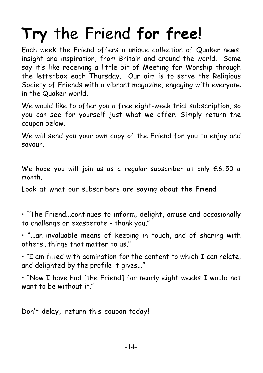# **Try** *the Friend* **for free!**

Each week *the Friend* offers a unique collection of Quaker news, insight and inspiration, from Britain and around the world. Some say it's like receiving a little bit of Meeting for Worship through the letterbox each Thursday. Our aim is to serve the Religious Society of Friends with a vibrant magazine, engaging with everyone in the Quaker world.

We would like to offer you a free eight-week trial subscription, so you can see for yourself just what we offer. Simply return the coupon below.

We will send you your own copy of *the Friend* for you to enjoy and savour.

*We hope you will join us as a regular subscriber at only £6. 50 a month.*

*Look at what our subscribers are saying about* **the Friend**

*• "*The Friend*...continues to inform, delight, amuse and occasionally to challenge or exasperate - thank you."*

*• "...an invaluable means of keeping in touch, and of sharing with others...things that matter to us."*

*• "I am filled with admiration for the content to which I can relate, and delighted by the profile it gives..."*

*• "Now I have had* [the Friend] *for nearly eight weeks I would not want to be without it."*

*Don't delay, return this coupon today!*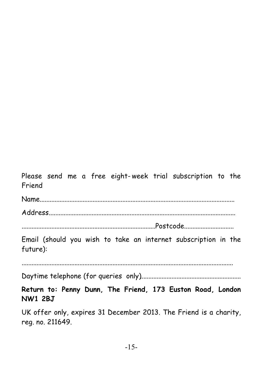*Please send me a free eight- week trial subscription to the Friend*

Name...................................................................................................................... Address.................................................................................................................

.................................................................................Postcode..............................

Email (should you wish to take an internet subscription in the future):

................................................................................................................................

Daytime telephone (for queries only).............................................................

**Return to: Penny Dunn, The Friend, 173 Euston Road, London NW1 2BJ**

UK offer only, expires 31 December 2013. The Friend is a charity, reg. no. 211649.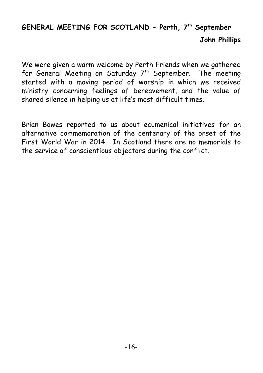### **GENERAL MEETING FOR SCOTLAND - Perth, 7<sup>th</sup> September John Phillips**

We were given a warm welcome by Perth Friends when we gathered for General Meeting on Saturday  $7<sup>th</sup>$  September. The meeting started with a moving period of worship in which we received ministry concerning feelings of bereavement, and the value of shared silence in helping us at life's most difficult times.

Brian Bowes reported to us about ecumenical initiatives for an alternative commemoration of the centenary of the onset of the First World War in 2014. In Scotland there are no memorials to the service of conscientious objectors during the conflict.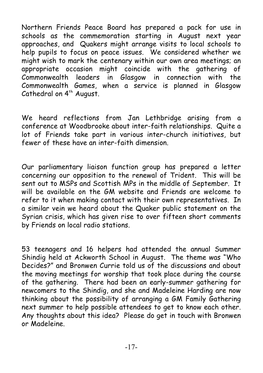Northern Friends Peace Board has prepared a pack for use in schools as the commemoration starting in August next year approaches, and Quakers might arrange visits to local schools to help pupils to focus on peace issues. We considered whether we might wish to mark the centenary within our own area meetings; an appropriate occasion might coincide with the gathering of Commonwealth leaders in Glasgow in connection with the Commonwealth Games, when a service is planned in Glasgow Cathedral on  $4<sup>th</sup>$  August.

We heard reflections from Jan Lethbridge arising from a conference at Woodbrooke about inter-faith relationships. Quite a lot of Friends take part in various inter-church initiatives, but fewer of these have an inter-faith dimension.

Our parliamentary liaison function group has prepared a letter concerning our opposition to the renewal of Trident. This will be sent out to MSPs and Scottish MPs in the middle of September. It will be available on the GM website and Friends are welcome to refer to it when making contact with their own representatives. In a similar vein we heard about the Quaker public statement on the Syrian crisis, which has given rise to over fifteen short comments by Friends on local radio stations.

53 teenagers and 16 helpers had attended the annual Summer Shindig held at Ackworth School in August. The theme was "Who Decides?" and Bronwen Currie told us of the discussions and about the moving meetings for worship that took place during the course of the gathering. There had been an early-summer gathering for newcomers to the Shindig, and she and Madeleine Harding are now thinking about the possibility of arranging a GM Family Gathering next summer to help possible attendees to get to know each other. Any thoughts about this idea? Please do get in touch with Bronwen or Madeleine.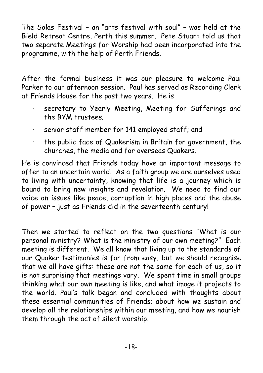The Solas Festival – an "arts festival with soul" – was held at the Bield Retreat Centre, Perth this summer. Pete Stuart told us that two separate Meetings for Worship had been incorporated into the programme, with the help of Perth Friends.

After the formal business it was our pleasure to welcome Paul Parker to our afternoon session. Paul has served as Recording Clerk at Friends House for the past two years. He is

- secretary to Yearly Meeting, Meeting for Sufferings and the BYM trustees;
- senior staff member for 141 employed staff; and
- · the public face of Quakerism in Britain for government, the churches, the media and for overseas Quakers.

He is convinced that Friends today have an important message to offer to an uncertain world. As a faith group we are ourselves used to living with uncertainty, knowing that life is a journey which is bound to bring new insights and revelation. We need to find our voice on issues like peace, corruption in high places and the abuse of power – just as Friends did in the seventeenth century!

Then we started to reflect on the two questions "What is our personal ministry? What is the ministry of our own meeting?" Each meeting is different. We all know that living up to the standards of our Quaker testimonies is far from easy, but we should recognise that we all have gifts: these are not the same for each of us, so it is not surprising that meetings vary. We spent time in small groups thinking what our own meeting is like, and what image it projects to the world. Paul's talk began and concluded with thoughts about these essential communities of Friends; about how we sustain and develop all the relationships within our meeting, and how we nourish them through the act of silent worship.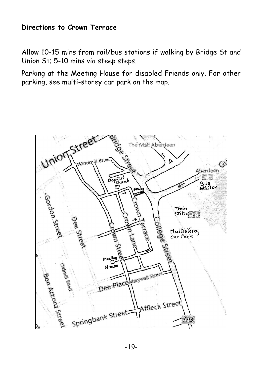#### **Directions to Crown Terrace**

Allow 10-15 mins from rail/bus stations if walking by Bridge St and Union St; 5-10 mins via steep steps.

Parking at the Meeting House for disabled Friends only. For other parking, see multi-storey car park on the map.